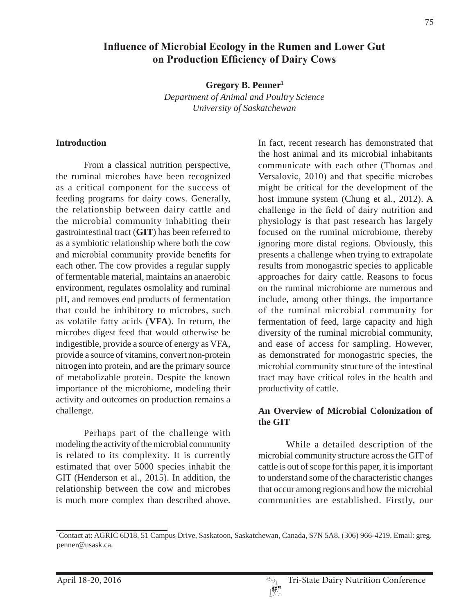# **Influence of Microbial Ecology in the Rumen and Lower Gut** on Production Efficiency of Dairy Cows

**Gregory B. Penner1**

*Department of Animal and Poultry Science University of Saskatchewan*

#### **Introduction**

From a classical nutrition perspective, the ruminal microbes have been recognized as a critical component for the success of feeding programs for dairy cows. Generally, the relationship between dairy cattle and the microbial community inhabiting their gastrointestinal tract (**GIT**) has been referred to as a symbiotic relationship where both the cow and microbial community provide benefits for each other. The cow provides a regular supply of fermentable material, maintains an anaerobic environment, regulates osmolality and ruminal pH, and removes end products of fermentation that could be inhibitory to microbes, such as volatile fatty acids (**VFA**). In return, the microbes digest feed that would otherwise be indigestible, provide a source of energy as VFA, provide a source of vitamins, convert non-protein nitrogen into protein, and are the primary source of metabolizable protein. Despite the known importance of the microbiome, modeling their activity and outcomes on production remains a challenge.

Perhaps part of the challenge with modeling the activity of the microbial community is related to its complexity. It is currently estimated that over 5000 species inhabit the GIT (Henderson et al., 2015). In addition, the relationship between the cow and microbes is much more complex than described above.

In fact, recent research has demonstrated that the host animal and its microbial inhabitants communicate with each other (Thomas and Versalovic, 2010) and that specific microbes might be critical for the development of the host immune system (Chung et al., 2012). A challenge in the field of dairy nutrition and physiology is that past research has largely focused on the ruminal microbiome, thereby ignoring more distal regions. Obviously, this presents a challenge when trying to extrapolate results from monogastric species to applicable approaches for dairy cattle. Reasons to focus on the ruminal microbiome are numerous and include, among other things, the importance of the ruminal microbial community for fermentation of feed, large capacity and high diversity of the ruminal microbial community, and ease of access for sampling. However, as demonstrated for monogastric species, the microbial community structure of the intestinal tract may have critical roles in the health and productivity of cattle.

#### **An Overview of Microbial Colonization of the GIT**

While a detailed description of the microbial community structure across the GIT of cattle is out of scope for this paper, it is important to understand some of the characteristic changes that occur among regions and how the microbial communities are established. Firstly, our

<sup>1</sup> Contact at: AGRIC 6D18, 51 Campus Drive, Saskatoon, Saskatchewan, Canada, S7N 5A8, (306) 966-4219, Email: greg. penner@usask.ca.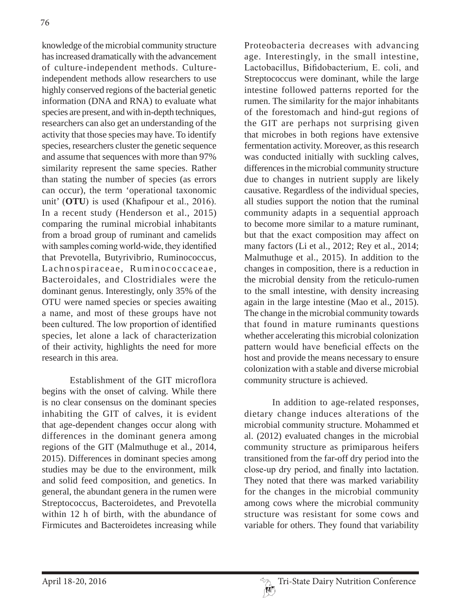knowledge of the microbial community structure has increased dramatically with the advancement of culture-independent methods. Cultureindependent methods allow researchers to use highly conserved regions of the bacterial genetic information (DNA and RNA) to evaluate what species are present, and with in-depth techniques, researchers can also get an understanding of the activity that those species may have. To identify species, researchers cluster the genetic sequence and assume that sequences with more than 97% similarity represent the same species. Rather than stating the number of species (as errors can occur), the term 'operational taxonomic unit'  $(OTU)$  is used (Khafipour et al., 2016). In a recent study (Henderson et al., 2015) comparing the ruminal microbial inhabitants from a broad group of ruminant and camelids with samples coming world-wide, they identified that Prevotella, Butyrivibrio, Ruminococcus, Lachnospiraceae, Ruminococcaceae, Bacteroidales, and Clostridiales were the dominant genus. Interestingly, only 35% of the OTU were named species or species awaiting a name, and most of these groups have not been cultured. The low proportion of identified species, let alone a lack of characterization of their activity, highlights the need for more research in this area.

Establishment of the GIT microflora begins with the onset of calving. While there is no clear consensus on the dominant species inhabiting the GIT of calves, it is evident that age-dependent changes occur along with differences in the dominant genera among regions of the GIT (Malmuthuge et al., 2014, 2015). Differences in dominant species among studies may be due to the environment, milk and solid feed composition, and genetics. In general, the abundant genera in the rumen were Streptococcus, Bacteroidetes, and Prevotella within 12 h of birth, with the abundance of Firmicutes and Bacteroidetes increasing while

Proteobacteria decreases with advancing age. Interestingly, in the small intestine, Lactobacillus, Bifidobacterium, E. coli, and Streptococcus were dominant, while the large intestine followed patterns reported for the rumen. The similarity for the major inhabitants of the forestomach and hind-gut regions of the GIT are perhaps not surprising given that microbes in both regions have extensive fermentation activity. Moreover, as this research was conducted initially with suckling calves, differences in the microbial community structure due to changes in nutrient supply are likely causative. Regardless of the individual species, all studies support the notion that the ruminal community adapts in a sequential approach to become more similar to a mature ruminant, but that the exact composition may affect on many factors (Li et al., 2012; Rey et al., 2014; Malmuthuge et al., 2015). In addition to the changes in composition, there is a reduction in the microbial density from the reticulo-rumen to the small intestine, with density increasing again in the large intestine (Mao et al., 2015). The change in the microbial community towards that found in mature ruminants questions whether accelerating this microbial colonization pattern would have beneficial effects on the host and provide the means necessary to ensure colonization with a stable and diverse microbial community structure is achieved.

In addition to age-related responses, dietary change induces alterations of the microbial community structure. Mohammed et al. (2012) evaluated changes in the microbial community structure as primiparous heifers transitioned from the far-off dry period into the close-up dry period, and finally into lactation. They noted that there was marked variability for the changes in the microbial community among cows where the microbial community structure was resistant for some cows and variable for others. They found that variability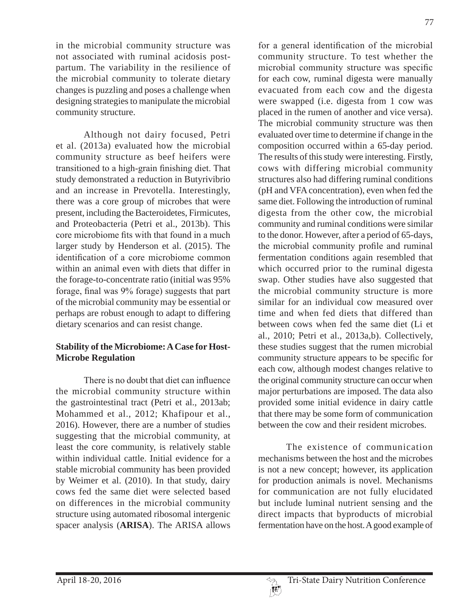77

in the microbial community structure was not associated with ruminal acidosis postpartum. The variability in the resilience of the microbial community to tolerate dietary changes is puzzling and poses a challenge when designing strategies to manipulate the microbial community structure.

Although not dairy focused, Petri et al. (2013a) evaluated how the microbial community structure as beef heifers were transitioned to a high-grain finishing diet. That study demonstrated a reduction in Butyrivibrio and an increase in Prevotella. Interestingly, there was a core group of microbes that were present, including the Bacteroidetes, Firmicutes, and Proteobacteria (Petri et al., 2013b). This core microbiome fits with that found in a much larger study by Henderson et al. (2015). The identification of a core microbiome common within an animal even with diets that differ in the forage-to-concentrate ratio (initial was 95% forage, final was 9% forage) suggests that part of the microbial community may be essential or perhaps are robust enough to adapt to differing dietary scenarios and can resist change.

## **Stability of the Microbiome: A Case for Host-Microbe Regulation**

There is no doubt that diet can influence the microbial community structure within the gastrointestinal tract (Petri et al., 2013ab; Mohammed et al., 2012; Khafipour et al., 2016). However, there are a number of studies suggesting that the microbial community, at least the core community, is relatively stable within individual cattle. Initial evidence for a stable microbial community has been provided by Weimer et al. (2010). In that study, dairy cows fed the same diet were selected based on differences in the microbial community structure using automated ribosomal intergenic spacer analysis (**ARISA**). The ARISA allows

for a general identification of the microbial community structure. To test whether the microbial community structure was specific for each cow, ruminal digesta were manually evacuated from each cow and the digesta were swapped (i.e. digesta from 1 cow was placed in the rumen of another and vice versa). The microbial community structure was then evaluated over time to determine if change in the composition occurred within a 65-day period. The results of this study were interesting. Firstly, cows with differing microbial community structures also had differing ruminal conditions (pH and VFA concentration), even when fed the same diet. Following the introduction of ruminal digesta from the other cow, the microbial community and ruminal conditions were similar to the donor. However, after a period of 65-days, the microbial community profile and ruminal fermentation conditions again resembled that which occurred prior to the ruminal digesta swap. Other studies have also suggested that the microbial community structure is more similar for an individual cow measured over time and when fed diets that differed than between cows when fed the same diet (Li et al., 2010; Petri et al., 2013a,b). Collectively, these studies suggest that the rumen microbial community structure appears to be specific for each cow, although modest changes relative to the original community structure can occur when major perturbations are imposed. The data also provided some initial evidence in dairy cattle that there may be some form of communication between the cow and their resident microbes.

The existence of communication mechanisms between the host and the microbes is not a new concept; however, its application for production animals is novel. Mechanisms for communication are not fully elucidated but include luminal nutrient sensing and the direct impacts that byproducts of microbial fermentation have on the host. A good example of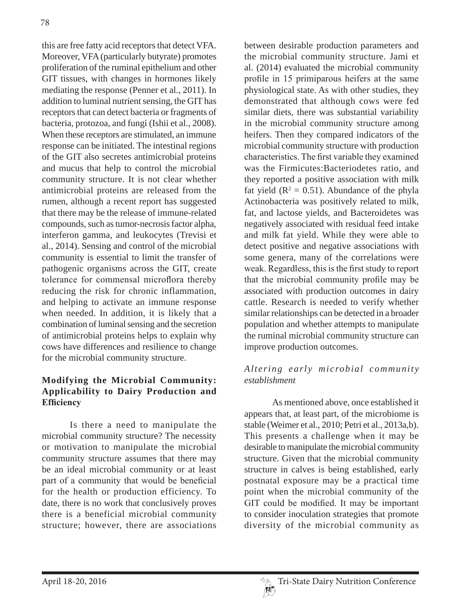this are free fatty acid receptors that detect VFA. Moreover, VFA (particularly butyrate) promotes proliferation of the ruminal epithelium and other GIT tissues, with changes in hormones likely mediating the response (Penner et al., 2011). In addition to luminal nutrient sensing, the GIT has receptors that can detect bacteria or fragments of bacteria, protozoa, and fungi (Ishii et al., 2008). When these receptors are stimulated, an immune response can be initiated. The intestinal regions of the GIT also secretes antimicrobial proteins and mucus that help to control the microbial community structure. It is not clear whether antimicrobial proteins are released from the rumen, although a recent report has suggested that there may be the release of immune-related compounds, such as tumor-necrosis factor alpha, interferon gamma, and leukocytes (Trevisi et al., 2014). Sensing and control of the microbial community is essential to limit the transfer of pathogenic organisms across the GIT, create tolerance for commensal microflora thereby reducing the risk for chronic inflammation, and helping to activate an immune response when needed. In addition, it is likely that a combination of luminal sensing and the secretion of antimicrobial proteins helps to explain why cows have differences and resilience to change for the microbial community structure.

## **Modifying the Microbial Community: Applicability to Dairy Production and Efficiency**

Is there a need to manipulate the microbial community structure? The necessity or motivation to manipulate the microbial community structure assumes that there may be an ideal microbial community or at least part of a community that would be beneficial for the health or production efficiency. To date, there is no work that conclusively proves there is a beneficial microbial community structure; however, there are associations

between desirable production parameters and the microbial community structure. Jami et al. (2014) evaluated the microbial community profile in 15 primiparous heifers at the same physiological state. As with other studies, they demonstrated that although cows were fed similar diets, there was substantial variability in the microbial community structure among heifers. Then they compared indicators of the microbial community structure with production characteristics. The first variable they examined was the Firmicutes:Bacteriodetes ratio, and they reported a positive association with milk fat yield ( $\mathbb{R}^2 = 0.51$ ). Abundance of the phyla Actinobacteria was positively related to milk, fat, and lactose yields, and Bacteroidetes was negatively associated with residual feed intake and milk fat yield. While they were able to detect positive and negative associations with some genera, many of the correlations were weak. Regardless, this is the first study to report that the microbial community profile may be associated with production outcomes in dairy cattle. Research is needed to verify whether similar relationships can be detected in a broader population and whether attempts to manipulate the ruminal microbial community structure can improve production outcomes.

#### *Altering early microbial community establishment*

As mentioned above, once established it appears that, at least part, of the microbiome is stable (Weimer et al., 2010; Petri et al., 2013a,b). This presents a challenge when it may be desirable to manipulate the microbial community structure. Given that the microbial community structure in calves is being established, early postnatal exposure may be a practical time point when the microbial community of the GIT could be modified. It may be important to consider inoculation strategies that promote diversity of the microbial community as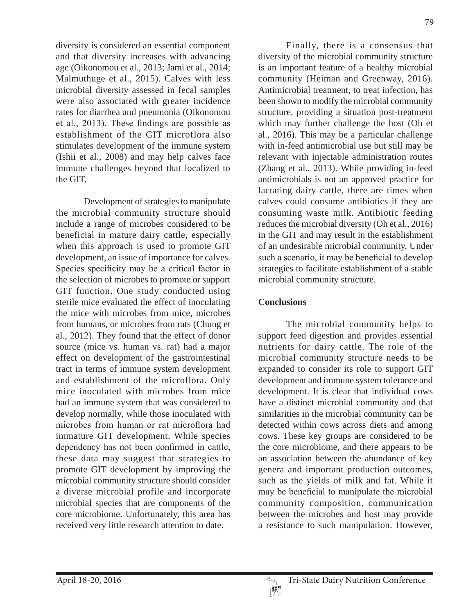diversity is considered an essential component and that diversity increases with advancing age (Oikonomou et al., 2013; Jami et al., 2014; Malmuthuge et al., 2015). Calves with less microbial diversity assessed in fecal samples were also associated with greater incidence rates for diarrhea and pneumonia (Oikonomou et al., 2013). These findings are possible as establishment of the GIT microflora also stimulates development of the immune system (Ishii et al., 2008) and may help calves face immune challenges beyond that localized to the GIT.

Development of strategies to manipulate the microbial community structure should include a range of microbes considered to be beneficial in mature dairy cattle, especially when this approach is used to promote GIT development, an issue of importance for calves. Species specificity may be a critical factor in the selection of microbes to promote or support GIT function. One study conducted using sterile mice evaluated the effect of inoculating the mice with microbes from mice, microbes from humans, or microbes from rats (Chung et al., 2012). They found that the effect of donor source (mice vs. human vs. rat) had a major effect on development of the gastrointestinal tract in terms of immune system development and establishment of the microflora. Only mice inoculated with microbes from mice had an immune system that was considered to develop normally, while those inoculated with microbes from human or rat microflora had immature GIT development. While species dependency has not been confirmed in cattle, these data may suggest that strategies to promote GIT development by improving the microbial community structure should consider a diverse microbial profile and incorporate microbial species that are components of the core microbiome. Unfortunately, this area has received very little research attention to date.

Finally, there is a consensus that diversity of the microbial community structure is an important feature of a healthy microbial community (Heiman and Greenway, 2016). Antimicrobial treatment, to treat infection, has been shown to modify the microbial community structure, providing a situation post-treatment which may further challenge the host (Oh et al., 2016). This may be a particular challenge with in-feed antimicrobial use but still may be relevant with injectable administration routes (Zhang et al., 2013). While providing in-feed antimicrobials is not an approved practice for lactating dairy cattle, there are times when calves could consume antibiotics if they are consuming waste milk. Antibiotic feeding reduces the microbial diversity (Oh et al., 2016) in the GIT and may result in the establishment of an undesirable microbial community. Under such a scenario, it may be beneficial to develop strategies to facilitate establishment of a stable microbial community structure.

#### **Conclusions**

The microbial community helps to support feed digestion and provides essential nutrients for dairy cattle. The role of the microbial community structure needs to be expanded to consider its role to support GIT development and immune system tolerance and development. It is clear that individual cows have a distinct microbial community and that similarities in the microbial community can be detected within cows across diets and among cows. These key groups are considered to be the core microbiome, and there appears to be an association between the abundance of key genera and important production outcomes, such as the yields of milk and fat. While it may be beneficial to manipulate the microbial community composition, communication between the microbes and host may provide a resistance to such manipulation. However,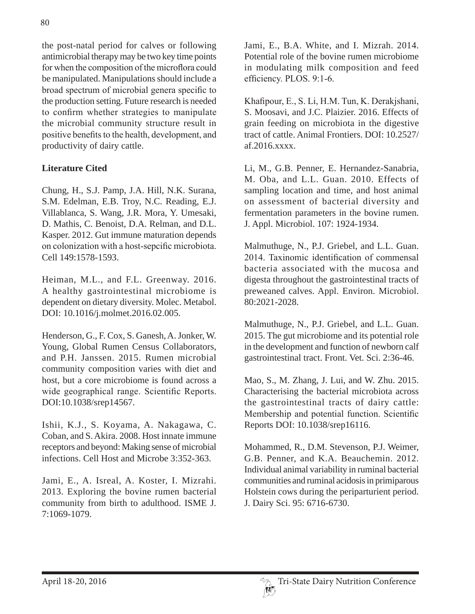the post-natal period for calves or following antimicrobial therapy may be two key time points for when the composition of the microflora could be manipulated. Manipulations should include a broad spectrum of microbial genera specific to the production setting. Future research is needed to confirm whether strategies to manipulate the microbial community structure result in positive benefits to the health, development, and productivity of dairy cattle.

## **Literature Cited**

Chung, H., S.J. Pamp, J.A. Hill, N.K. Surana, S.M. Edelman, E.B. Troy, N.C. Reading, E.J. Villablanca, S. Wang, J.R. Mora, Y. Umesaki, D. Mathis, C. Benoist, D.A. Relman, and D.L. Kasper. 2012. Gut immune maturation depends on colonization with a host-sepcific microbiota. Cell 149:1578-1593.

Heiman, M.L., and F.L. Greenway. 2016. A healthy gastrointestinal microbiome is dependent on dietary diversity. Molec. Metabol. DOI: 10.1016/j.molmet.2016.02.005.

Henderson, G., F. Cox, S. Ganesh, A. Jonker, W. Young, Global Rumen Census Collaborators, and P.H. Janssen. 2015. Rumen microbial community composition varies with diet and host, but a core microbiome is found across a wide geographical range. Scientific Reports. DOI:10.1038/srep14567.

Ishii, K.J., S. Koyama, A. Nakagawa, C. Coban, and S. Akira. 2008. Host innate immune receptors and beyond: Making sense of microbial infections. Cell Host and Microbe 3:352-363.

Jami, E., A. Isreal, A. Koster, I. Mizrahi. 2013. Exploring the bovine rumen bacterial community from birth to adulthood. ISME J. 7:1069-1079.

Jami, E., B.A. White, and I. Mizrah. 2014. Potential role of the bovine rumen microbiome in modulating milk composition and feed efficiency. PLOS. 9:1-6.

Khafipour, E., S. Li, H.M. Tun, K. Derakjshani, S. Moosavi, and J.C. Plaizier. 2016. Effects of grain feeding on microbiota in the digestive tract of cattle. Animal Frontiers. DOI: 10.2527/ af.2016.xxxx.

Li, M., G.B. Penner, E. Hernandez-Sanabria, M. Oba, and L.L. Guan. 2010. Effects of sampling location and time, and host animal on assessment of bacterial diversity and fermentation parameters in the bovine rumen. J. Appl. Microbiol. 107: 1924-1934.

Malmuthuge, N., P.J. Griebel, and L.L. Guan. 2014. Taxinomic identification of commensal bacteria associated with the mucosa and digesta throughout the gastrointestinal tracts of preweaned calves. Appl. Environ. Microbiol. 80:2021-2028.

Malmuthuge, N., P.J. Griebel, and L.L. Guan. 2015. The gut microbiome and its potential role in the development and function of newborn calf gastrointestinal tract. Front. Vet. Sci. 2:36-46.

Mao, S., M. Zhang, J. Lui, and W. Zhu. 2015. Characterising the bacterial microbiota across the gastrointestinal tracts of dairy cattle: Membership and potential function. Scientific Reports DOI: 10.1038/srep16116.

Mohammed, R., D.M. Stevenson, P.J. Weimer, G.B. Penner, and K.A. Beauchemin. 2012. Individual animal variability in ruminal bacterial communities and ruminal acidosis in primiparous Holstein cows during the periparturient period. J. Dairy Sci. 95: 6716-6730.